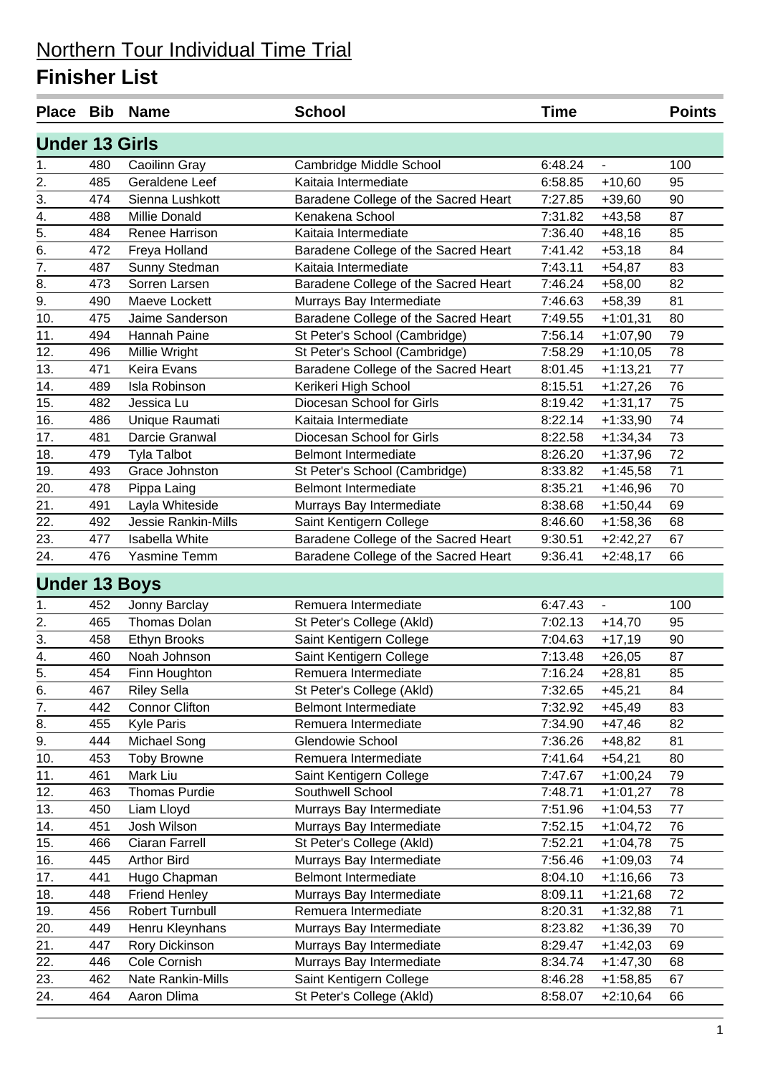| Place Bib             |     | <b>Name</b>                | <b>School</b>                        | Time    |                | <b>Points</b> |
|-----------------------|-----|----------------------------|--------------------------------------|---------|----------------|---------------|
| <b>Under 13 Girls</b> |     |                            |                                      |         |                |               |
| 1.                    | 480 | Caoilinn Gray              | Cambridge Middle School              | 6:48.24 |                | 100           |
| $\overline{2}$ .      | 485 | Geraldene Leef             | Kaitaia Intermediate                 | 6:58.85 | $+10,60$       | 95            |
| $\overline{3}$ .      | 474 | Sienna Lushkott            | Baradene College of the Sacred Heart | 7:27.85 | $+39,60$       | 90            |
| $\overline{4}$ .      | 488 | Millie Donald              | Kenakena School                      | 7:31.82 | $+43,58$       | 87            |
| $\overline{5}$ .      | 484 | Renee Harrison             | Kaitaia Intermediate                 | 7:36.40 | $+48,16$       | 85            |
| 6.                    | 472 | Freya Holland              | Baradene College of the Sacred Heart | 7:41.42 | $+53,18$       | 84            |
| 7.                    | 487 | Sunny Stedman              | Kaitaia Intermediate                 | 7:43.11 | $+54,87$       | 83            |
| 8.                    | 473 | Sorren Larsen              | Baradene College of the Sacred Heart | 7:46.24 | $+58,00$       | 82            |
| 9.                    | 490 | Maeve Lockett              | Murrays Bay Intermediate             | 7:46.63 | $+58,39$       | 81            |
| 10.                   | 475 | Jaime Sanderson            | Baradene College of the Sacred Heart | 7:49.55 | $+1:01,31$     | 80            |
| 11.                   | 494 | Hannah Paine               | St Peter's School (Cambridge)        | 7:56.14 | $+1:07,90$     | 79            |
| 12.                   | 496 | Millie Wright              | St Peter's School (Cambridge)        | 7:58.29 | $+1:10,05$     | 78            |
| 13.                   | 471 | Keira Evans                | Baradene College of the Sacred Heart | 8:01.45 | $+1:13,21$     | 77            |
| 14.                   | 489 | Isla Robinson              | Kerikeri High School                 | 8:15.51 | $+1:27,26$     | 76            |
| 15.                   | 482 | Jessica Lu                 | Diocesan School for Girls            | 8:19.42 | $+1:31,17$     | 75            |
| 16.                   | 486 | Unique Raumati             | Kaitaia Intermediate                 | 8:22.14 | $+1:33,90$     | 74            |
| 17.                   | 481 | Darcie Granwal             | Diocesan School for Girls            | 8:22.58 | $+1:34,34$     | 73            |
| 18.                   | 479 | Tyla Talbot                | <b>Belmont Intermediate</b>          | 8:26.20 | $+1:37,96$     | 72            |
| 19.                   | 493 | Grace Johnston             | St Peter's School (Cambridge)        | 8:33.82 | $+1:45,58$     | 71            |
| 20.                   | 478 | Pippa Laing                | <b>Belmont Intermediate</b>          | 8:35.21 | $+1:46,96$     | 70            |
| 21.                   | 491 | Layla Whiteside            | Murrays Bay Intermediate             | 8:38.68 | $+1:50,44$     | 69            |
| 22.                   | 492 | <b>Jessie Rankin-Mills</b> | Saint Kentigern College              | 8:46.60 | $+1:58,36$     | 68            |
| 23.                   | 477 | <b>Isabella White</b>      | Baradene College of the Sacred Heart | 9:30.51 | $+2:42,27$     | 67            |
| 24.                   | 476 | Yasmine Temm               | Baradene College of the Sacred Heart | 9:36.41 | $+2:48,17$     | 66            |
| <b>Under 13 Boys</b>  |     |                            |                                      |         |                |               |
| 1.                    | 452 | Jonny Barclay              | Remuera Intermediate                 | 6:47.43 | $\blacksquare$ | 100           |
| 2.                    | 465 | <b>Thomas Dolan</b>        | St Peter's College (Akld)            | 7:02.13 | $+14,70$       | 95            |
| $\overline{3}$ .      | 458 | Ethyn Brooks               | Saint Kentigern College              | 7:04.63 | $+17,19$       | 90            |
| $\overline{4}$ .      | 460 | Noah Johnson               | Saint Kentigern College              | 7:13.48 | $+26,05$       | 87            |
| $\overline{5}$ .      | 454 | Finn Houghton              | Remuera Intermediate                 | 7:16.24 | $+28,81$       | 85            |
| 6.                    | 467 | <b>Riley Sella</b>         | St Peter's College (Akld)            | 7:32.65 | $+45,21$       | 84            |
| $\overline{7}$ .      | 442 | <b>Connor Clifton</b>      | <b>Belmont Intermediate</b>          | 7:32.92 | $+45,49$       | 83            |
| 8.                    | 455 | <b>Kyle Paris</b>          | Remuera Intermediate                 | 7:34.90 | $+47,46$       | 82            |
| 9.                    | 444 | Michael Song               | Glendowie School                     | 7:36.26 | $+48,82$       | 81            |
| 10.                   | 453 | <b>Toby Browne</b>         | Remuera Intermediate                 | 7:41.64 | $+54,21$       | 80            |
| 11.                   | 461 | Mark Liu                   | Saint Kentigern College              | 7:47.67 | $+1:00,24$     | 79            |
| 12.                   | 463 | <b>Thomas Purdie</b>       | Southwell School                     | 7:48.71 | $+1:01,27$     | 78            |
| 13.                   | 450 | Liam Lloyd                 | Murrays Bay Intermediate             | 7:51.96 | $+1:04,53$     | 77            |
| 14.                   | 451 | Josh Wilson                | Murrays Bay Intermediate             | 7:52.15 | $+1:04,72$     | 76            |
| 15.                   | 466 | Ciaran Farrell             | St Peter's College (Akld)            | 7:52.21 | $+1:04,78$     | 75            |
| 16.                   | 445 | <b>Arthor Bird</b>         | Murrays Bay Intermediate             | 7:56.46 | $+1:09,03$     | 74            |
| 17.                   | 441 | Hugo Chapman               | Belmont Intermediate                 | 8:04.10 | $+1:16,66$     | 73            |
| 18.                   | 448 | <b>Friend Henley</b>       | Murrays Bay Intermediate             | 8:09.11 | $+1:21,68$     | 72            |
| 19.                   | 456 | Robert Turnbull            | Remuera Intermediate                 | 8:20.31 | $+1:32,88$     | 71            |
| 20.                   | 449 | Henru Kleynhans            | Murrays Bay Intermediate             | 8:23.82 | $+1:36,39$     | 70            |
| 21.                   | 447 | Rory Dickinson             | Murrays Bay Intermediate             | 8:29.47 | $+1:42,03$     | 69            |
| 22.                   | 446 | Cole Cornish               | Murrays Bay Intermediate             | 8:34.74 | $+1:47,30$     | 68            |
| 23.                   | 462 | Nate Rankin-Mills          | Saint Kentigern College              | 8:46.28 | $+1:58,85$     | 67            |
| 24.                   | 464 | Aaron Dlima                | St Peter's College (Akld)            | 8:58.07 | $+2:10,64$     | 66            |
|                       |     |                            |                                      |         |                |               |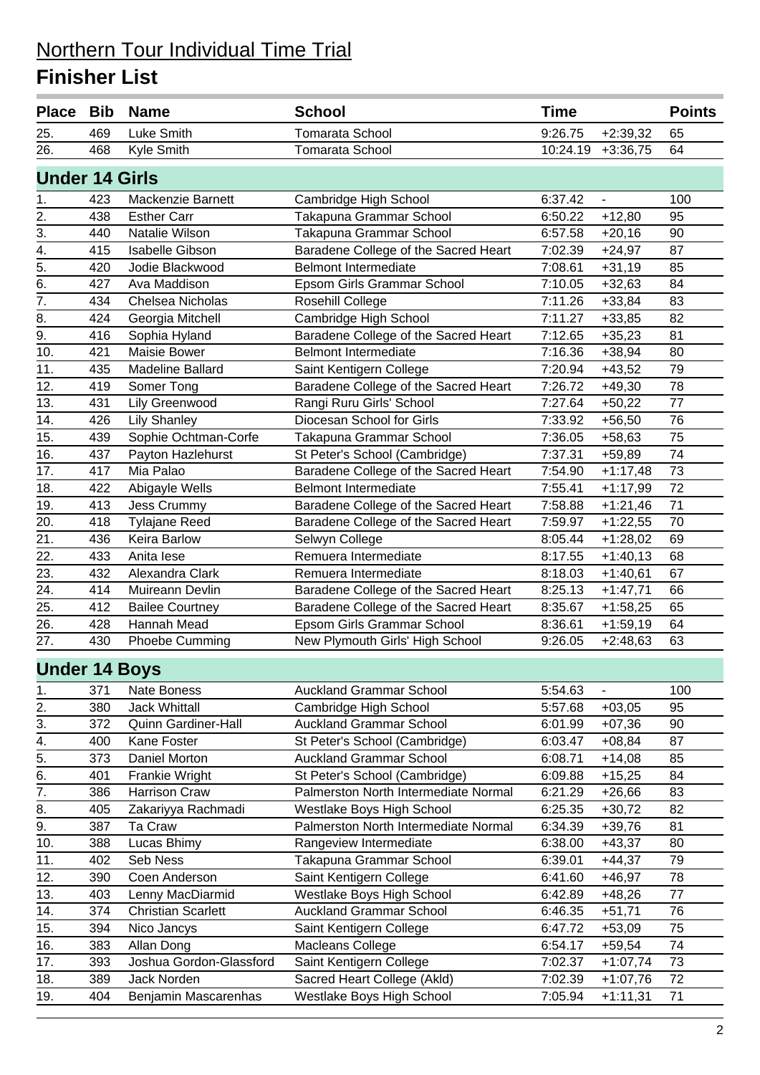| Place Bib             |     | <b>Name</b>               | <b>School</b>                        | <b>Time</b> |                | <b>Points</b> |
|-----------------------|-----|---------------------------|--------------------------------------|-------------|----------------|---------------|
| 25.                   | 469 | Luke Smith                | <b>Tomarata School</b>               | 9:26.75     | $+2:39,32$     | 65            |
| 26.                   | 468 | Kyle Smith                | <b>Tomarata School</b>               | 10:24.19    | $+3:36,75$     | 64            |
| <b>Under 14 Girls</b> |     |                           |                                      |             |                |               |
| 1.                    | 423 | Mackenzie Barnett         | Cambridge High School                | 6:37.42     | $\blacksquare$ | 100           |
| 2.                    | 438 | <b>Esther Carr</b>        | Takapuna Grammar School              | 6:50.22     | $+12,80$       | 95            |
| $\overline{3}$ .      | 440 | Natalie Wilson            | Takapuna Grammar School              | 6:57.58     | $+20,16$       | 90            |
| 4.                    | 415 | <b>Isabelle Gibson</b>    | Baradene College of the Sacred Heart | 7:02.39     | $+24,97$       | 87            |
| 5.                    | 420 | Jodie Blackwood           | <b>Belmont Intermediate</b>          | 7:08.61     | $+31,19$       | 85            |
| $\overline{6}$ .      | 427 | Ava Maddison              | Epsom Girls Grammar School           | 7:10.05     | $+32,63$       | 84            |
| $\overline{7}$ .      | 434 | Chelsea Nicholas          | Rosehill College                     | 7:11.26     | $+33,84$       | 83            |
| 8.                    | 424 | Georgia Mitchell          | Cambridge High School                | 7:11.27     | $+33,85$       | 82            |
| 9.                    | 416 | Sophia Hyland             | Baradene College of the Sacred Heart | 7:12.65     | $+35,23$       | 81            |
| 10.                   | 421 | Maisie Bower              | <b>Belmont Intermediate</b>          | 7:16.36     | $+38,94$       | 80            |
| 11.                   | 435 | <b>Madeline Ballard</b>   | Saint Kentigern College              | 7:20.94     | $+43,52$       | 79            |
| 12.                   | 419 | Somer Tong                | Baradene College of the Sacred Heart | 7:26.72     | $+49,30$       | 78            |
| 13.                   | 431 | Lily Greenwood            | Rangi Ruru Girls' School             | 7:27.64     | $+50,22$       | 77            |
| 14.                   | 426 | <b>Lily Shanley</b>       | Diocesan School for Girls            | 7:33.92     | $+56,50$       | 76            |
| 15.                   | 439 | Sophie Ochtman-Corfe      | Takapuna Grammar School              | 7:36.05     | $+58,63$       | 75            |
| 16.                   | 437 | Payton Hazlehurst         | St Peter's School (Cambridge)        | 7:37.31     | $+59,89$       | 74            |
| 17.                   | 417 | Mia Palao                 | Baradene College of the Sacred Heart | 7:54.90     | $+1:17,48$     | 73            |
| 18.                   | 422 | Abigayle Wells            | <b>Belmont Intermediate</b>          | 7:55.41     | $+1:17,99$     | 72            |
| 19.                   | 413 | <b>Jess Crummy</b>        | Baradene College of the Sacred Heart | 7:58.88     | $+1:21,46$     | 71            |
| 20.                   | 418 | <b>Tylajane Reed</b>      | Baradene College of the Sacred Heart | 7:59.97     | $+1:22,55$     | 70            |
| 21.                   | 436 | Keira Barlow              | Selwyn College                       | 8:05.44     | $+1:28,02$     | 69            |
| 22.                   | 433 | Anita lese                | Remuera Intermediate                 | 8:17.55     | $+1:40,13$     | 68            |
| 23.                   | 432 | Alexandra Clark           | Remuera Intermediate                 | 8:18.03     | $+1:40,61$     | 67            |
| 24.                   | 414 | Muireann Devlin           | Baradene College of the Sacred Heart | 8:25.13     | $+1:47,71$     | 66            |
| 25.                   | 412 | <b>Bailee Courtney</b>    | Baradene College of the Sacred Heart | 8:35.67     | $+1:58,25$     | 65            |
| 26.                   | 428 | Hannah Mead               | Epsom Girls Grammar School           | 8:36.61     | $+1:59,19$     | 64            |
| 27.                   | 430 | Phoebe Cumming            | New Plymouth Girls' High School      | 9:26.05     | $+2:48,63$     | 63            |
| <b>Under 14 Boys</b>  |     |                           |                                      |             |                |               |
| 1.                    | 371 | Nate Boness               | <b>Auckland Grammar School</b>       | 5:54.63     |                | 100           |
| 2.                    | 380 | <b>Jack Whittall</b>      | Cambridge High School                | 5:57.68     | $+03,05$       | 95            |
| 3.                    | 372 | Quinn Gardiner-Hall       | <b>Auckland Grammar School</b>       | 6:01.99     | $+07,36$       | 90            |
| 4.                    | 400 | Kane Foster               | St Peter's School (Cambridge)        | 6:03.47     | $+08,84$       | 87            |
| 5.                    | 373 | Daniel Morton             | <b>Auckland Grammar School</b>       | 6:08.71     | $+14,08$       | 85            |
| 6.                    | 401 | Frankie Wright            | St Peter's School (Cambridge)        | 6:09.88     | $+15,25$       | 84            |
| 7.                    | 386 | <b>Harrison Craw</b>      | Palmerston North Intermediate Normal | 6:21.29     | $+26,66$       | 83            |
| 8.                    | 405 | Zakariyya Rachmadi        | Westlake Boys High School            | 6:25.35     | $+30,72$       | 82            |
| 9.                    | 387 | Ta Craw                   | Palmerston North Intermediate Normal | 6:34.39     | $+39,76$       | 81            |
| 10.                   | 388 | Lucas Bhimy               | Rangeview Intermediate               | 6:38.00     | $+43,37$       | 80            |
| 11.                   | 402 | Seb Ness                  | Takapuna Grammar School              | 6:39.01     | $+44,37$       | 79            |
| 12.                   | 390 | Coen Anderson             | Saint Kentigern College              | 6:41.60     | $+46,97$       | 78            |
| 13.                   | 403 | Lenny MacDiarmid          | Westlake Boys High School            | 6:42.89     | $+48,26$       | 77            |
| 14.                   | 374 | <b>Christian Scarlett</b> | <b>Auckland Grammar School</b>       | 6:46.35     | $+51,71$       | 76            |
| 15.                   | 394 | Nico Jancys               | Saint Kentigern College              | 6:47.72     | $+53,09$       | 75            |
| 16.                   | 383 | Allan Dong                | Macleans College                     | 6:54.17     | $+59,54$       | 74            |
| 17.                   | 393 | Joshua Gordon-Glassford   | Saint Kentigern College              | 7:02.37     | $+1:07,74$     | 73            |
| 18.                   | 389 | Jack Norden               | Sacred Heart College (Akld)          | 7:02.39     | $+1:07,76$     | 72            |
| 19.                   | 404 | Benjamin Mascarenhas      | Westlake Boys High School            | 7:05.94     | $+1:11,31$     | 71            |
|                       |     |                           |                                      |             |                |               |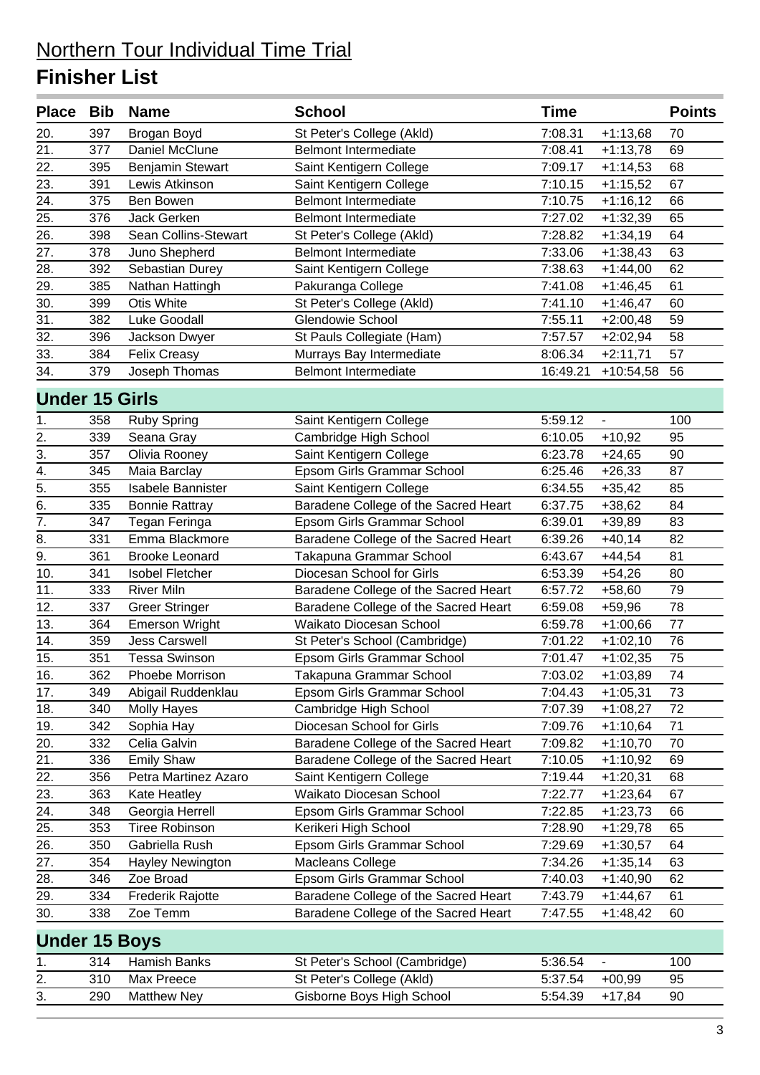| Place Bib             |     | <b>Name</b>              | <b>School</b>                        | <b>Time</b> |                  | <b>Points</b> |
|-----------------------|-----|--------------------------|--------------------------------------|-------------|------------------|---------------|
| 20.                   | 397 | Brogan Boyd              | St Peter's College (Akld)            | 7:08.31     | $+1:13,68$       | 70            |
| 21.                   | 377 | Daniel McClune           | <b>Belmont Intermediate</b>          | 7:08.41     | $+1:13,78$       | 69            |
| 22.                   | 395 | Benjamin Stewart         | Saint Kentigern College              | 7:09.17     | $+1:14,53$       | 68            |
| $\overline{23.}$      | 391 | Lewis Atkinson           | Saint Kentigern College              | 7:10.15     | $+1:15,52$       | 67            |
| 24.                   | 375 | Ben Bowen                | <b>Belmont Intermediate</b>          | 7:10.75     | $+1:16,12$       | 66            |
| 25.                   | 376 | Jack Gerken              | <b>Belmont Intermediate</b>          | 7:27.02     | $+1:32,39$       | 65            |
| 26.                   | 398 | Sean Collins-Stewart     | St Peter's College (Akld)            | 7:28.82     | $+1:34,19$       | 64            |
| 27.                   | 378 | Juno Shepherd            | <b>Belmont Intermediate</b>          | 7:33.06     | $+1:38,43$       | 63            |
| 28.                   | 392 | Sebastian Durey          | Saint Kentigern College              | 7:38.63     | $+1:44,00$       | 62            |
| $\overline{29}$ .     | 385 | Nathan Hattingh          | Pakuranga College                    | 7:41.08     | $+1:46,45$       | 61            |
| 30.                   | 399 | Otis White               | St Peter's College (Akld)            | 7:41.10     | $+1:46,47$       | 60            |
| $\overline{31}$ .     | 382 | Luke Goodall             | Glendowie School                     | 7:55.11     | $+2:00,48$       | 59            |
| 32.                   | 396 | Jackson Dwyer            | St Pauls Collegiate (Ham)            | 7:57.57     | $+2:02,94$       | 58            |
| 33.                   | 384 | <b>Felix Creasy</b>      | Murrays Bay Intermediate             | 8:06.34     | $+2:11,71$       | 57            |
| 34.                   | 379 | Joseph Thomas            | <b>Belmont Intermediate</b>          | 16:49.21    | $+10:54,58$      | 56            |
| <b>Under 15 Girls</b> |     |                          |                                      |             |                  |               |
| 1.                    | 358 | <b>Ruby Spring</b>       | Saint Kentigern College              | 5:59.12     | $\blacksquare$   | 100           |
| $\frac{2}{3}$         | 339 | Seana Gray               | Cambridge High School                | 6:10.05     | $+10,92$         | 95            |
|                       | 357 | Olivia Rooney            | Saint Kentigern College              | 6:23.78     | $+24,65$         | 90            |
| $\overline{4}$ .      | 345 | Maia Barclay             | Epsom Girls Grammar School           | 6:25.46     | $+26,33$         | 87            |
| $\overline{5}$ .      | 355 | <b>Isabele Bannister</b> | Saint Kentigern College              | 6:34.55     | $+35,42$         | 85            |
| $\overline{6}$ .      | 335 | <b>Bonnie Rattray</b>    | Baradene College of the Sacred Heart | 6:37.75     | $+38,62$         | 84            |
| $\overline{7}$ .      | 347 | Tegan Feringa            | Epsom Girls Grammar School           | 6:39.01     | $+39,89$         | 83            |
| 8.                    | 331 | Emma Blackmore           | Baradene College of the Sacred Heart | 6:39.26     | $+40,14$         | 82            |
| 9.                    | 361 | <b>Brooke Leonard</b>    | Takapuna Grammar School              | 6:43.67     | $+44,54$         | 81            |
| 10.                   | 341 | <b>Isobel Fletcher</b>   | Diocesan School for Girls            | 6:53.39     | $+54,26$         | 80            |
| 11.                   | 333 | <b>River Miln</b>        | Baradene College of the Sacred Heart | 6:57.72     | $+58,60$         | 79            |
| $\overline{12}$ .     | 337 | <b>Greer Stringer</b>    | Baradene College of the Sacred Heart | 6:59.08     | $+59,96$         | 78            |
| 13.                   | 364 | <b>Emerson Wright</b>    | Waikato Diocesan School              | 6:59.78     | $+1:00,66$       | 77            |
| 14.                   | 359 | <b>Jess Carswell</b>     | St Peter's School (Cambridge)        | 7:01.22     | $+1:02,10$       | 76            |
| 15.                   | 351 | <b>Tessa Swinson</b>     | Epsom Girls Grammar School           | 7:01.47     | $+1:02,35$       | 75            |
| 16.                   | 362 | Phoebe Morrison          | Takapuna Grammar School              |             | 7:03.02 +1:03,89 | 74            |
| 17.                   | 349 | Abigail Ruddenklau       | Epsom Girls Grammar School           | 7:04.43     | $+1:05,31$       | 73            |
| 18.                   | 340 | <b>Molly Hayes</b>       | Cambridge High School                | 7:07.39     | $+1:08,27$       | 72            |
| 19.                   | 342 | Sophia Hay               | Diocesan School for Girls            | 7:09.76     | $+1:10,64$       | 71            |
| 20.                   | 332 | Celia Galvin             | Baradene College of the Sacred Heart | 7:09.82     | $+1:10,70$       | 70            |
| 21.                   | 336 | <b>Emily Shaw</b>        | Baradene College of the Sacred Heart | 7:10.05     | $+1:10,92$       | 69            |
| 22.                   | 356 | Petra Martinez Azaro     | Saint Kentigern College              | 7:19.44     | $+1:20,31$       | 68            |
| 23.                   | 363 | Kate Heatley             | Waikato Diocesan School              | 7:22.77     | $+1:23,64$       | 67            |
| 24.                   | 348 | Georgia Herrell          | Epsom Girls Grammar School           | 7:22.85     | $+1:23,73$       | 66            |
| 25.                   | 353 | <b>Tiree Robinson</b>    | Kerikeri High School                 | 7:28.90     | $+1:29,78$       | 65            |
| 26.                   | 350 | Gabriella Rush           | Epsom Girls Grammar School           | 7:29.69     | $+1:30,57$       | 64            |
| 27.                   | 354 | Hayley Newington         | <b>Macleans College</b>              | 7:34.26     | $+1:35,14$       | 63            |
| 28.                   | 346 | Zoe Broad                | Epsom Girls Grammar School           | 7:40.03     | $+1:40,90$       | 62            |
| 29.                   | 334 | <b>Frederik Rajotte</b>  | Baradene College of the Sacred Heart | 7:43.79     | $+1:44,67$       | 61            |
| 30.                   | 338 | Zoe Temm                 | Baradene College of the Sacred Heart | 7:47.55     | $+1:48,42$       | 60            |
| <b>Under 15 Boys</b>  |     |                          |                                      |             |                  |               |
| 1.                    | 314 | Hamish Banks             | St Peter's School (Cambridge)        | 5:36.54     | ۰                | 100           |
| 2.                    | 310 | Max Preece               | St Peter's College (Akld)            | 5:37.54     | $+00,99$         | 95            |
| 3.                    | 290 | <b>Matthew Ney</b>       | Gisborne Boys High School            | 5:54.39     | $+17,84$         | 90            |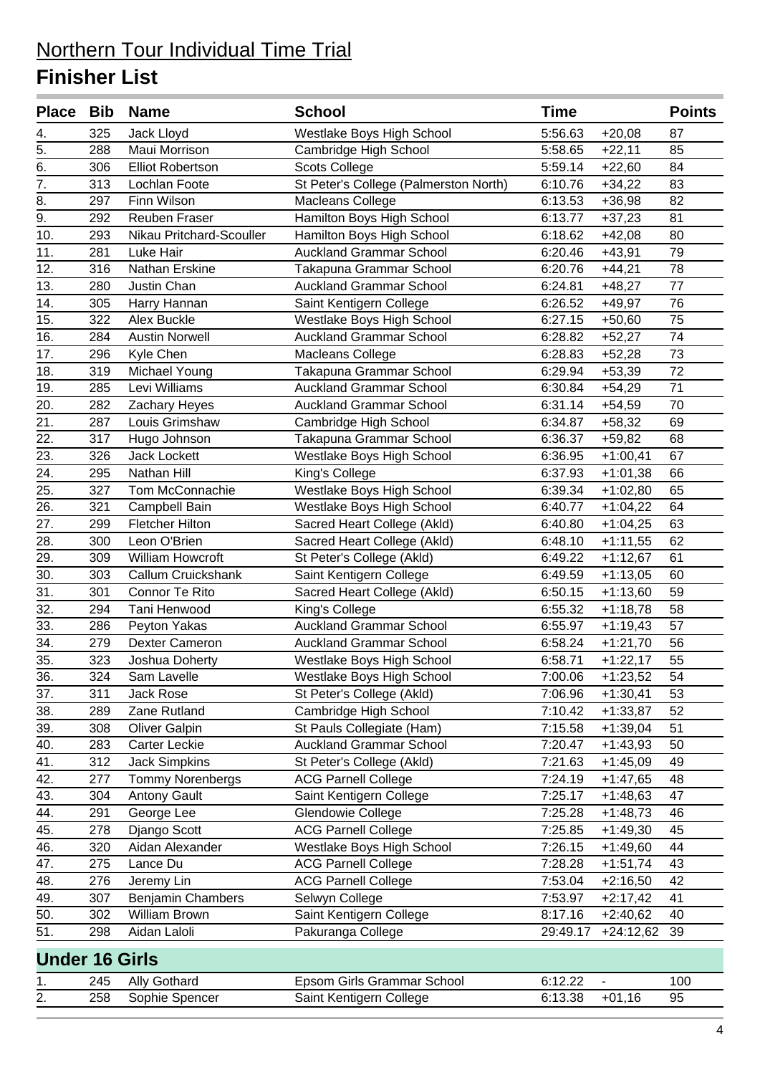| Place Bib             |     | <b>Name</b>              | <b>School</b>                         | <b>Time</b> |             | <b>Points</b> |
|-----------------------|-----|--------------------------|---------------------------------------|-------------|-------------|---------------|
| 4.                    | 325 | Jack Lloyd               | Westlake Boys High School             | 5:56.63     | $+20,08$    | 87            |
| $\overline{5}$ .      | 288 | Maui Morrison            | Cambridge High School                 | 5:58.65     | $+22,11$    | 85            |
| 6.                    | 306 | <b>Elliot Robertson</b>  | <b>Scots College</b>                  | 5:59.14     | $+22,60$    | 84            |
| $\overline{7}$ .      | 313 | Lochlan Foote            | St Peter's College (Palmerston North) | 6:10.76     | $+34,22$    | 83            |
| 8.                    | 297 | Finn Wilson              | Macleans College                      | 6:13.53     | $+36,98$    | 82            |
| $\overline{9}$ .      | 292 | Reuben Fraser            | Hamilton Boys High School             | 6:13.77     | $+37,23$    | 81            |
| 10.                   | 293 | Nikau Pritchard-Scouller | Hamilton Boys High School             | 6:18.62     | $+42,08$    | 80            |
| 11.                   | 281 | Luke Hair                | <b>Auckland Grammar School</b>        | 6:20.46     | $+43,91$    | 79            |
| 12.                   | 316 | Nathan Erskine           | Takapuna Grammar School               | 6:20.76     | $+44,21$    | 78            |
| 13.                   | 280 | Justin Chan              | <b>Auckland Grammar School</b>        | 6:24.81     | $+48,27$    | 77            |
| 14.                   | 305 | Harry Hannan             | Saint Kentigern College               | 6:26.52     | $+49,97$    | 76            |
| 15.                   | 322 | Alex Buckle              | Westlake Boys High School             | 6:27.15     | $+50,60$    | 75            |
| 16.                   | 284 | <b>Austin Norwell</b>    | <b>Auckland Grammar School</b>        | 6:28.82     | $+52,27$    | 74            |
| 17.                   | 296 | Kyle Chen                | Macleans College                      | 6:28.83     | $+52,28$    | 73            |
| 18.                   | 319 | Michael Young            | Takapuna Grammar School               | 6:29.94     | $+53,39$    | 72            |
| 19.                   | 285 | Levi Williams            | <b>Auckland Grammar School</b>        | 6:30.84     | $+54,29$    | 71            |
| 20.                   | 282 | Zachary Heyes            | <b>Auckland Grammar School</b>        | 6:31.14     | $+54,59$    | 70            |
| $\overline{21}$       | 287 | Louis Grimshaw           | Cambridge High School                 | 6:34.87     | $+58,32$    | 69            |
| 22.                   | 317 | Hugo Johnson             | Takapuna Grammar School               | 6:36.37     | $+59,82$    | 68            |
| 23.                   | 326 | Jack Lockett             | Westlake Boys High School             | 6:36.95     | $+1:00,41$  | 67            |
| 24.                   | 295 | Nathan Hill              | King's College                        | 6:37.93     | $+1:01,38$  | 66            |
| 25.                   | 327 | Tom McConnachie          | Westlake Boys High School             | 6:39.34     | $+1:02,80$  | 65            |
| 26.                   | 321 | Campbell Bain            | Westlake Boys High School             | 6:40.77     | $+1:04,22$  | 64            |
| 27.                   | 299 | <b>Fletcher Hilton</b>   | Sacred Heart College (Akld)           | 6:40.80     | $+1:04,25$  | 63            |
| 28.                   | 300 | Leon O'Brien             | Sacred Heart College (Akld)           | 6:48.10     | $+1:11,55$  | 62            |
| $\overline{29}$ .     | 309 | William Howcroft         | St Peter's College (Akld)             | 6:49.22     | $+1:12,67$  | 61            |
| 30.                   | 303 | Callum Cruickshank       | Saint Kentigern College               | 6:49.59     | $+1:13,05$  | 60            |
| $\overline{31}$       | 301 | Connor Te Rito           | Sacred Heart College (Akld)           | 6:50.15     | $+1:13,60$  | 59            |
| 32.                   | 294 | Tani Henwood             | King's College                        | 6:55.32     | $+1:18,78$  | 58            |
| 33.                   | 286 | Peyton Yakas             | <b>Auckland Grammar School</b>        | 6:55.97     | $+1:19,43$  | 57            |
| $\overline{34}$ .     | 279 | <b>Dexter Cameron</b>    | <b>Auckland Grammar School</b>        | 6:58.24     | $+1:21,70$  | 56            |
| 35.                   | 323 | Joshua Doherty           | Westlake Boys High School             | 6:58.71     | $+1:22,17$  | 55            |
| 36.                   | 324 | Sam Lavelle              | Westlake Boys High School             | 7:00.06     | +1:23,52    | 54            |
| 37.                   | 311 | <b>Jack Rose</b>         | St Peter's College (Akld)             | 7:06.96     | $+1:30,41$  | 53            |
| 38.                   | 289 | Zane Rutland             | Cambridge High School                 | 7:10.42     | $+1:33,87$  | 52            |
| 39.                   | 308 | Oliver Galpin            | St Pauls Collegiate (Ham)             | 7:15.58     | $+1:39,04$  | 51            |
| 40.                   | 283 | Carter Leckie            | <b>Auckland Grammar School</b>        | 7:20.47     | $+1:43,93$  | 50            |
| 41.                   | 312 | <b>Jack Simpkins</b>     | St Peter's College (Akld)             | 7:21.63     | $+1:45,09$  | 49            |
| 42.                   | 277 | <b>Tommy Norenbergs</b>  | <b>ACG Parnell College</b>            | 7:24.19     | $+1:47,65$  | 48            |
| 43.                   | 304 | <b>Antony Gault</b>      | Saint Kentigern College               | 7:25.17     | $+1:48,63$  | 47            |
| 44.                   | 291 | George Lee               | Glendowie College                     | 7:25.28     | $+1:48,73$  | 46            |
| 45.                   | 278 | Django Scott             | <b>ACG Parnell College</b>            | 7:25.85     | $+1:49,30$  | 45            |
| 46.                   | 320 | Aidan Alexander          | Westlake Boys High School             | 7:26.15     | $+1:49,60$  | 44            |
| 47.                   | 275 | Lance Du                 | <b>ACG Parnell College</b>            | 7:28.28     | $+1:51,74$  | 43            |
| 48.                   | 276 | Jeremy Lin               | <b>ACG Parnell College</b>            | 7:53.04     | $+2:16,50$  | 42            |
| 49.                   | 307 | <b>Benjamin Chambers</b> | Selwyn College                        | 7:53.97     | $+2:17,42$  | 41            |
| 50.                   | 302 | William Brown            | Saint Kentigern College               | 8:17.16     | $+2:40,62$  | 40            |
| 51.                   | 298 | Aidan Laloli             | Pakuranga College                     | 29:49.17    | $+24:12,62$ | 39            |
| <b>Under 16 Girls</b> |     |                          |                                       |             |             |               |
| 1.                    | 245 | Ally Gothard             | Epsom Girls Grammar School            | 6:12.22     |             | 100           |
| 2.                    | 258 | Sophie Spencer           | Saint Kentigern College               | 6:13.38     | $+01,16$    | 95            |
|                       |     |                          |                                       |             |             |               |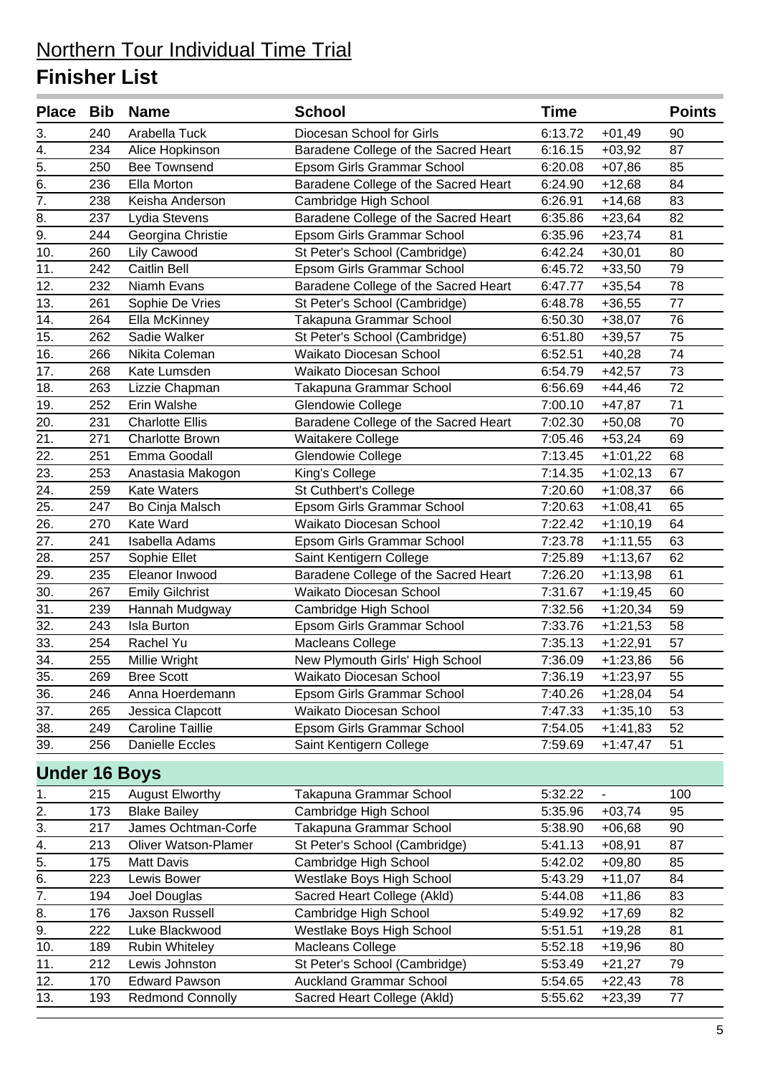| Place Bib            |     | <b>Name</b>                 | <b>School</b>                        | Time    |                | <b>Points</b> |
|----------------------|-----|-----------------------------|--------------------------------------|---------|----------------|---------------|
| 3.                   | 240 | Arabella Tuck               | Diocesan School for Girls            | 6:13.72 | $+01,49$       | 90            |
| 4.                   | 234 | Alice Hopkinson             | Baradene College of the Sacred Heart | 6:16.15 | $+03,92$       | 87            |
| 5.                   | 250 | <b>Bee Townsend</b>         | Epsom Girls Grammar School           | 6:20.08 | $+07,86$       | 85            |
| $\overline{6}$ .     | 236 | Ella Morton                 | Baradene College of the Sacred Heart | 6:24.90 | $+12,68$       | 84            |
| $\overline{7}$ .     | 238 | Keisha Anderson             | Cambridge High School                | 6:26.91 | $+14,68$       | 83            |
| 8.                   | 237 | Lydia Stevens               | Baradene College of the Sacred Heart | 6:35.86 | $+23,64$       | 82            |
| 9.                   | 244 | Georgina Christie           | Epsom Girls Grammar School           | 6:35.96 | $+23,74$       | 81            |
| 10.                  | 260 | Lily Cawood                 | St Peter's School (Cambridge)        | 6:42.24 | $+30,01$       | 80            |
| 11.                  | 242 | <b>Caitlin Bell</b>         | Epsom Girls Grammar School           | 6:45.72 | $+33,50$       | 79            |
| 12.                  | 232 | Niamh Evans                 | Baradene College of the Sacred Heart | 6:47.77 | $+35,54$       | 78            |
| 13.                  | 261 | Sophie De Vries             | St Peter's School (Cambridge)        | 6:48.78 | $+36,55$       | 77            |
| 14.                  | 264 | Ella McKinney               | Takapuna Grammar School              | 6:50.30 | $+38,07$       | 76            |
| 15.                  | 262 | Sadie Walker                | St Peter's School (Cambridge)        | 6:51.80 | $+39,57$       | 75            |
| 16.                  | 266 | Nikita Coleman              | Waikato Diocesan School              | 6:52.51 | $+40,28$       | 74            |
| 17.                  | 268 | Kate Lumsden                | Waikato Diocesan School              | 6:54.79 | $+42,57$       | 73            |
| 18.                  | 263 | Lizzie Chapman              | Takapuna Grammar School              | 6:56.69 | $+44,46$       | 72            |
| 19.                  | 252 | Erin Walshe                 | Glendowie College                    | 7:00.10 | $+47,87$       | 71            |
| 20.                  | 231 | <b>Charlotte Ellis</b>      | Baradene College of the Sacred Heart | 7:02.30 | $+50,08$       | 70            |
| 21.                  | 271 | <b>Charlotte Brown</b>      | Waitakere College                    | 7:05.46 | $+53,24$       | 69            |
| 22.                  | 251 | Emma Goodall                | Glendowie College                    | 7:13.45 | $+1:01,22$     | 68            |
| 23.                  | 253 | Anastasia Makogon           | King's College                       | 7:14.35 | $+1:02,13$     | 67            |
| 24.                  | 259 | <b>Kate Waters</b>          | St Cuthbert's College                | 7:20.60 | $+1:08,37$     | 66            |
| 25.                  | 247 | Bo Cinja Malsch             | Epsom Girls Grammar School           | 7:20.63 | $+1:08,41$     | 65            |
| 26.                  | 270 | Kate Ward                   | Waikato Diocesan School              | 7:22.42 | $+1:10,19$     | 64            |
| 27.                  | 241 | Isabella Adams              | Epsom Girls Grammar School           | 7:23.78 | $+1:11,55$     | 63            |
| 28.                  | 257 | Sophie Ellet                | Saint Kentigern College              | 7:25.89 | $+1:13,67$     | 62            |
| 29.                  | 235 | Eleanor Inwood              | Baradene College of the Sacred Heart | 7:26.20 | $+1:13,98$     | 61            |
| 30.                  | 267 | <b>Emily Gilchrist</b>      | Waikato Diocesan School              | 7:31.67 | $+1:19,45$     | 60            |
| 31.                  | 239 | Hannah Mudgway              | Cambridge High School                | 7:32.56 | $+1:20,34$     | 59            |
| 32.                  | 243 | Isla Burton                 | Epsom Girls Grammar School           | 7:33.76 | $+1:21,53$     | 58            |
| 33.                  | 254 | Rachel Yu                   | Macleans College                     | 7:35.13 | $+1:22,91$     | 57            |
| 34.                  | 255 | Millie Wright               | New Plymouth Girls' High School      | 7:36.09 | $+1:23,86$     | 56            |
| $\overline{35}$ .    | 269 | <b>Bree Scott</b>           | Waikato Diocesan School              | 7:36.19 | $+1:23,97$     | 55            |
| 36.                  | 246 | Anna Hoerdemann             | Epsom Girls Grammar School           | 7:40.26 | $+1:28,04$     | 54            |
| 37.                  | 265 | Jessica Clapcott            | Waikato Diocesan School              | 7:47.33 | $+1:35,10$     | 53            |
| 38.                  | 249 | <b>Caroline Taillie</b>     | Epsom Girls Grammar School           | 7:54.05 | $+1:41,83$     | 52            |
| 39.                  | 256 | <b>Danielle Eccles</b>      | Saint Kentigern College              | 7:59.69 | $+1:47,47$     | 51            |
| <b>Under 16 Boys</b> |     |                             |                                      |         |                |               |
| 1.                   | 215 | <b>August Elworthy</b>      | Takapuna Grammar School              | 5:32.22 | $\blacksquare$ | 100           |
| 2.                   | 173 | <b>Blake Bailey</b>         | Cambridge High School                | 5:35.96 | $+03,74$       | 95            |
| $\overline{3}$ .     | 217 | James Ochtman-Corfe         | Takapuna Grammar School              | 5:38.90 | $+06,68$       | 90            |
| 4.                   | 213 | <b>Oliver Watson-Plamer</b> | St Peter's School (Cambridge)        | 5:41.13 | $+08,91$       | 87            |
| $\overline{5}$ .     | 175 | <b>Matt Davis</b>           | Cambridge High School                | 5:42.02 | $+09,80$       | 85            |
| 6.                   | 223 | Lewis Bower                 | Westlake Boys High School            | 5:43.29 | $+11,07$       | 84            |
| $\overline{7}$ .     | 194 | Joel Douglas                | Sacred Heart College (Akld)          | 5:44.08 | $+11,86$       | 83            |
| 8.                   | 176 | Jaxson Russell              | Cambridge High School                | 5:49.92 | $+17,69$       | 82            |
| 9.                   | 222 | Luke Blackwood              | Westlake Boys High School            | 5:51.51 | $+19,28$       | 81            |
| 10.                  | 189 | <b>Rubin Whiteley</b>       | <b>Macleans College</b>              | 5:52.18 | $+19,96$       | 80            |
| 11.                  | 212 | Lewis Johnston              | St Peter's School (Cambridge)        | 5:53.49 | $+21,27$       | 79            |
| 12.                  | 170 | <b>Edward Pawson</b>        | <b>Auckland Grammar School</b>       | 5:54.65 | $+22,43$       | 78            |
| 13.                  | 193 | <b>Redmond Connolly</b>     | Sacred Heart College (Akld)          | 5:55.62 | $+23,39$       | 77            |
|                      |     |                             |                                      |         |                |               |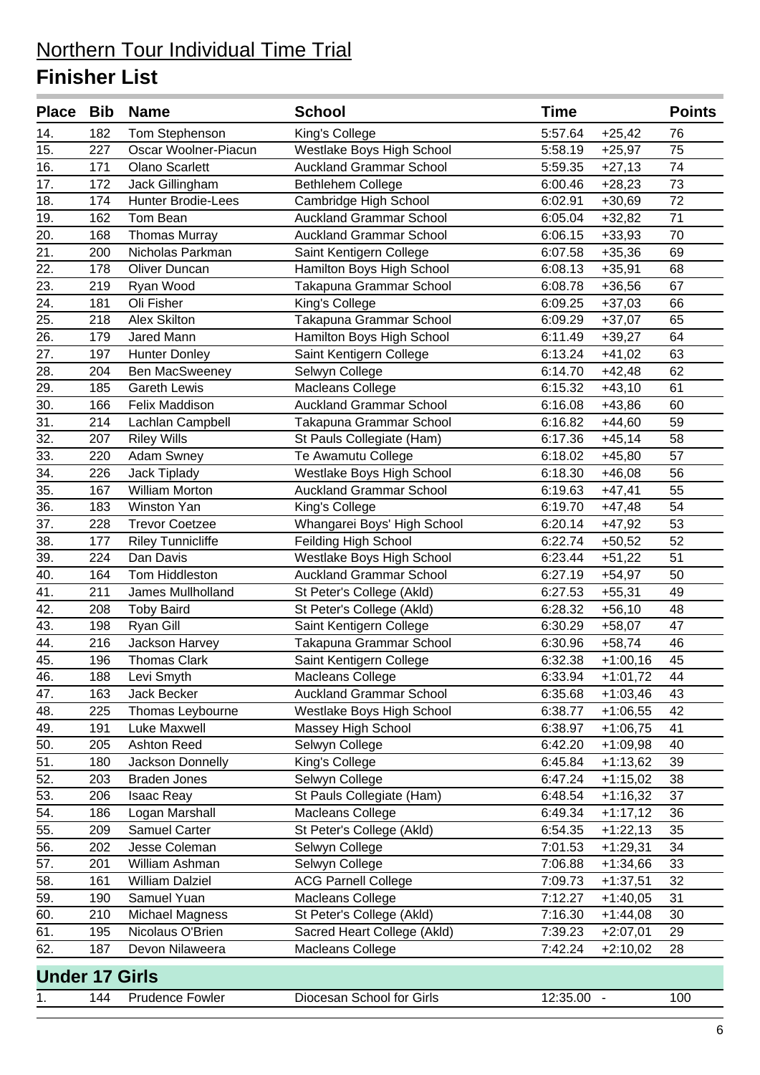| <b>Place</b>          | Bib | <b>Name</b>               | <b>School</b>                  | <b>Time</b> |            | <b>Points</b> |
|-----------------------|-----|---------------------------|--------------------------------|-------------|------------|---------------|
| 14.                   | 182 | Tom Stephenson            | King's College                 | 5:57.64     | $+25,42$   | 76            |
| 15.                   | 227 | Oscar Woolner-Piacun      | Westlake Boys High School      | 5:58.19     | $+25,97$   | 75            |
| 16.                   | 171 | <b>Olano Scarlett</b>     | <b>Auckland Grammar School</b> | 5:59.35     | $+27,13$   | 74            |
| 17.                   | 172 | Jack Gillingham           | Bethlehem College              | 6:00.46     | $+28,23$   | 73            |
| 18.                   | 174 | <b>Hunter Brodie-Lees</b> | Cambridge High School          | 6:02.91     | $+30,69$   | 72            |
| 19.                   | 162 | Tom Bean                  | <b>Auckland Grammar School</b> | 6:05.04     | $+32,82$   | 71            |
| 20.                   | 168 | <b>Thomas Murray</b>      | <b>Auckland Grammar School</b> | 6:06.15     | $+33,93$   | 70            |
| 21.                   | 200 | Nicholas Parkman          | Saint Kentigern College        | 6:07.58     | $+35,36$   | 69            |
| 22.                   | 178 | <b>Oliver Duncan</b>      | Hamilton Boys High School      | 6:08.13     | $+35,91$   | 68            |
| 23.                   | 219 | Ryan Wood                 | Takapuna Grammar School        | 6:08.78     | $+36,56$   | 67            |
| 24.                   | 181 | Oli Fisher                | King's College                 | 6:09.25     | $+37,03$   | 66            |
| 25.                   | 218 | Alex Skilton              | Takapuna Grammar School        | 6:09.29     | $+37,07$   | 65            |
| 26.                   | 179 | Jared Mann                | Hamilton Boys High School      | 6:11.49     | $+39,27$   | 64            |
| 27.                   | 197 | <b>Hunter Donley</b>      | Saint Kentigern College        | 6:13.24     | $+41,02$   | 63            |
| 28.                   | 204 | <b>Ben MacSweeney</b>     | Selwyn College                 | 6:14.70     | $+42,48$   | 62            |
| 29.                   | 185 | <b>Gareth Lewis</b>       | Macleans College               | 6:15.32     | $+43,10$   | 61            |
| 30.                   | 166 | Felix Maddison            | <b>Auckland Grammar School</b> | 6:16.08     | $+43,86$   | 60            |
| 31.                   | 214 | Lachlan Campbell          | Takapuna Grammar School        | 6:16.82     | $+44,60$   | 59            |
| 32.                   | 207 | <b>Riley Wills</b>        | St Pauls Collegiate (Ham)      | 6:17.36     | $+45,14$   | 58            |
| 33.                   | 220 | <b>Adam Swney</b>         | Te Awamutu College             | 6:18.02     | $+45,80$   | 57            |
| 34.                   | 226 | Jack Tiplady              | Westlake Boys High School      | 6:18.30     | $+46,08$   | 56            |
| 35.                   | 167 | <b>William Morton</b>     | <b>Auckland Grammar School</b> | 6:19.63     | $+47,41$   | 55            |
| 36.                   | 183 | Winston Yan               | King's College                 | 6:19.70     | $+47,48$   | 54            |
| 37.                   | 228 | <b>Trevor Coetzee</b>     | Whangarei Boys' High School    | 6:20.14     | $+47,92$   | 53            |
| 38.                   | 177 | <b>Riley Tunnicliffe</b>  | Feilding High School           | 6:22.74     | $+50,52$   | 52            |
| 39.                   | 224 | Dan Davis                 | Westlake Boys High School      | 6:23.44     | $+51,22$   | 51            |
| 40.                   | 164 | Tom Hiddleston            | <b>Auckland Grammar School</b> | 6:27.19     | $+54,97$   | 50            |
| 41.                   | 211 | James Mullholland         | St Peter's College (Akld)      | 6:27.53     | $+55,31$   | 49            |
| 42.                   | 208 | <b>Toby Baird</b>         | St Peter's College (Akld)      | 6:28.32     | $+56,10$   | 48            |
| 43.                   | 198 | Ryan Gill                 | Saint Kentigern College        | 6:30.29     | $+58,07$   | 47            |
| 44.                   | 216 | Jackson Harvey            | Takapuna Grammar School        | 6:30.96     | $+58,74$   | 46            |
| $\overline{45}$ .     | 196 | <b>Thomas Clark</b>       | Saint Kentigern College        | 6:32.38     | $+1:00,16$ | 45            |
| 46.                   | 188 | Levi Smyth                | Macleans College               | 6:33.94     | $+1:01,72$ | 44            |
| 47.                   | 163 | Jack Becker               | <b>Auckland Grammar School</b> | 6:35.68     | $+1:03,46$ | 43            |
| 48.                   | 225 | Thomas Leybourne          | Westlake Boys High School      | 6:38.77     | $+1:06,55$ | 42            |
| 49.                   | 191 | Luke Maxwell              | Massey High School             | 6:38.97     | $+1:06,75$ | 41            |
| 50.                   | 205 | <b>Ashton Reed</b>        | Selwyn College                 | 6:42.20     | $+1:09,98$ | 40            |
| 51.                   | 180 | Jackson Donnelly          | King's College                 | 6:45.84     | $+1:13,62$ | 39            |
| 52.                   | 203 | <b>Braden Jones</b>       | Selwyn College                 | 6:47.24     | $+1:15,02$ | 38            |
| 53.                   | 206 | <b>Isaac Reay</b>         | St Pauls Collegiate (Ham)      | 6:48.54     | $+1:16,32$ | 37            |
| $\overline{54}$ .     | 186 | Logan Marshall            | Macleans College               | 6:49.34     | $+1:17,12$ | 36            |
| 55.                   | 209 | Samuel Carter             | St Peter's College (Akld)      | 6:54.35     | $+1:22,13$ | 35            |
| 56.                   | 202 | Jesse Coleman             | Selwyn College                 | 7:01.53     | $+1:29,31$ | 34            |
| 57.                   | 201 | William Ashman            | Selwyn College                 | 7:06.88     | $+1:34,66$ | 33            |
| 58.                   | 161 | <b>William Dalziel</b>    | <b>ACG Parnell College</b>     | 7:09.73     | $+1:37,51$ | 32            |
| 59.                   | 190 | Samuel Yuan               | Macleans College               | 7:12.27     | $+1:40,05$ | 31            |
| 60.                   | 210 | Michael Magness           | St Peter's College (Akld)      | 7:16.30     | $+1:44,08$ | 30            |
| 61.                   | 195 | Nicolaus O'Brien          | Sacred Heart College (Akld)    | 7:39.23     | $+2:07,01$ | 29            |
| 62.                   | 187 | Devon Nilaweera           | Macleans College               | 7:42.24     | $+2:10,02$ | 28            |
| <b>Under 17 Girls</b> |     |                           |                                |             |            |               |
| 1.                    | 144 | <b>Prudence Fowler</b>    | Diocesan School for Girls      | 12:35.00 -  |            | 100           |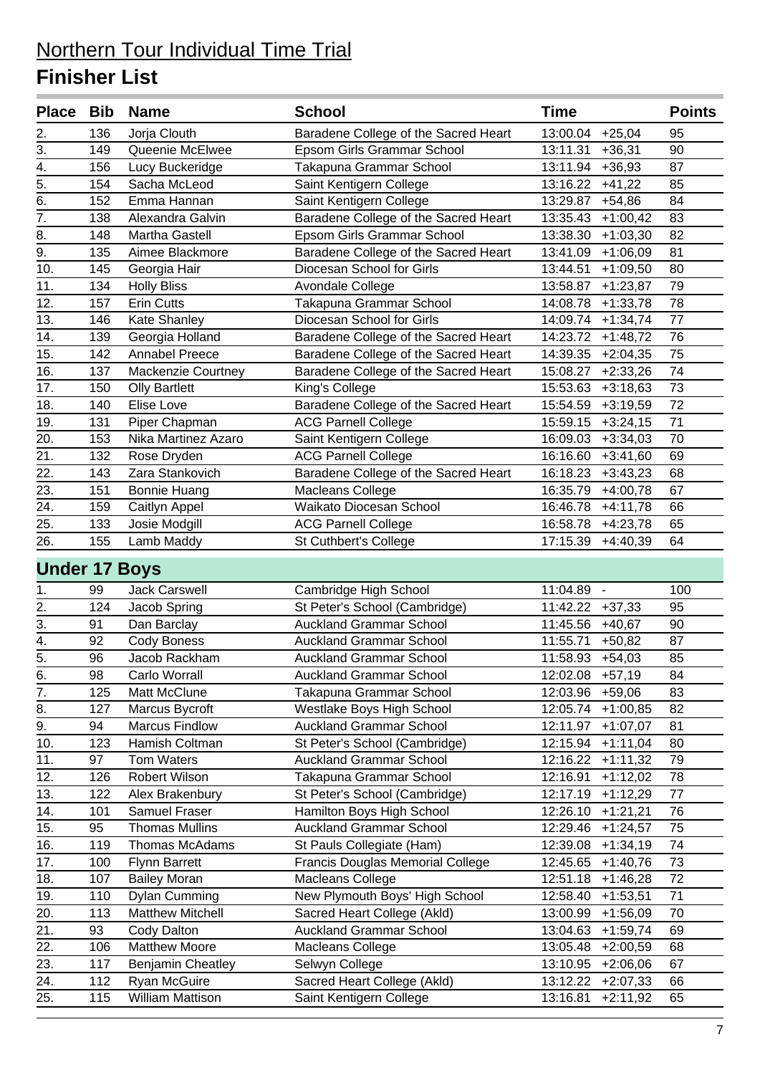| Place Bib            |     | <b>Name</b>             | <b>School</b>                           | Time              |            | <b>Points</b> |
|----------------------|-----|-------------------------|-----------------------------------------|-------------------|------------|---------------|
| $\overline{2}$ .     | 136 | Jorja Clouth            | Baradene College of the Sacred Heart    | 13:00.04          | $+25,04$   | 95            |
| 3.                   | 149 | Queenie McElwee         | Epsom Girls Grammar School              | 13:11.31          | $+36,31$   | 90            |
| 4.                   | 156 | Lucy Buckeridge         | Takapuna Grammar School                 | 13:11.94          | $+36,93$   | 87            |
| $\overline{5}$ .     | 154 | Sacha McLeod            | Saint Kentigern College                 | 13:16.22          | $+41,22$   | 85            |
| 6.                   | 152 | Emma Hannan             | Saint Kentigern College                 | 13:29.87          | $+54,86$   | 84            |
| $\overline{7}$ .     | 138 | Alexandra Galvin        | Baradene College of the Sacred Heart    | 13:35.43          | $+1:00,42$ | 83            |
| 8.                   | 148 | Martha Gastell          | Epsom Girls Grammar School              | 13:38.30          | $+1:03,30$ | 82            |
| $\overline{9}$ .     | 135 | Aimee Blackmore         | Baradene College of the Sacred Heart    | 13:41.09          | $+1:06,09$ | 81            |
| 10.                  | 145 | Georgia Hair            | Diocesan School for Girls               | 13:44.51          | $+1:09,50$ | 80            |
| 11.                  | 134 | <b>Holly Bliss</b>      | Avondale College                        | 13:58.87          | $+1:23,87$ | 79            |
| 12.                  | 157 | <b>Erin Cutts</b>       | Takapuna Grammar School                 | 14:08.78          | $+1:33,78$ | 78            |
| 13.                  | 146 | Kate Shanley            | Diocesan School for Girls               | 14:09.74          | $+1:34,74$ | 77            |
| 14.                  | 139 | Georgia Holland         | Baradene College of the Sacred Heart    | 14:23.72          | $+1:48,72$ | 76            |
| 15.                  | 142 | <b>Annabel Preece</b>   | Baradene College of the Sacred Heart    | 14:39.35          | $+2:04,35$ | 75            |
| 16.                  | 137 | Mackenzie Courtney      | Baradene College of the Sacred Heart    | 15:08.27          | $+2:33,26$ | 74            |
| 17.                  | 150 | <b>Olly Bartlett</b>    | King's College                          | 15:53.63          | $+3:18,63$ | 73            |
| 18.                  | 140 | Elise Love              | Baradene College of the Sacred Heart    | 15:54.59          | $+3:19,59$ | 72            |
| 19.                  | 131 | Piper Chapman           | <b>ACG Parnell College</b>              | 15:59.15          | $+3:24,15$ | 71            |
| 20.                  | 153 | Nika Martinez Azaro     | Saint Kentigern College                 | 16:09.03          | $+3:34,03$ | 70            |
| 21.                  | 132 | Rose Dryden             | <b>ACG Parnell College</b>              | 16:16.60          | $+3:41,60$ | 69            |
| 22.                  | 143 | Zara Stankovich         | Baradene College of the Sacred Heart    | 16:18.23          | $+3:43,23$ | 68            |
| 23.                  | 151 | <b>Bonnie Huang</b>     | <b>Macleans College</b>                 | 16:35.79          | $+4:00,78$ | 67            |
| 24.                  | 159 | Caitlyn Appel           | Waikato Diocesan School                 | 16:46.78          | $+4:11,78$ | 66            |
| 25.                  | 133 | Josie Modgill           | <b>ACG Parnell College</b>              | 16:58.78          | $+4:23,78$ | 65            |
| 26.                  | 155 | Lamb Maddy              | St Cuthbert's College                   | 17:15.39          | $+4:40,39$ | 64            |
| <b>Under 17 Boys</b> |     |                         |                                         |                   |            |               |
| 1.                   | 99  | <b>Jack Carswell</b>    | Cambridge High School                   | 11:04.89 -        |            | 100           |
| 2.                   | 124 | Jacob Spring            | St Peter's School (Cambridge)           | 11:42.22          | $+37,33$   | 95            |
| $\overline{3}$ .     | 91  | Dan Barclay             | <b>Auckland Grammar School</b>          | 11:45.56          | $+40,67$   | 90            |
| $\overline{4}$ .     | 92  | <b>Cody Boness</b>      | <b>Auckland Grammar School</b>          | 11:55.71          | $+50,82$   | 87            |
| $\overline{5}$ .     | 96  | Jacob Rackham           | <b>Auckland Grammar School</b>          | 11:58.93          | $+54,03$   | 85            |
| $\underline{6}$ .    | 98  | <b>Carlo Worrall</b>    | <b>Auckland Grammar School</b>          | $12:02.08$ +57,19 |            | 84            |
| 7.                   | 125 | Matt McClune            | Takapuna Grammar School                 | 12:03.96          | $+59,06$   | 83            |
| 8.                   | 127 | Marcus Bycroft          | Westlake Boys High School               | 12:05.74          | $+1:00,85$ | 82            |
| 9.                   | 94  | <b>Marcus Findlow</b>   | <b>Auckland Grammar School</b>          | 12:11.97          | $+1:07,07$ | 81            |
| 10.                  | 123 | Hamish Coltman          | St Peter's School (Cambridge)           | 12:15.94          | $+1:11,04$ | 80            |
| 11.                  | 97  | <b>Tom Waters</b>       | <b>Auckland Grammar School</b>          | 12:16.22          | $+1:11,32$ | 79            |
| 12.                  | 126 | Robert Wilson           | Takapuna Grammar School                 | 12:16.91          | $+1:12,02$ | 78            |
| 13.                  | 122 | Alex Brakenbury         | St Peter's School (Cambridge)           | 12:17.19          | $+1:12,29$ | 77            |
| 14.                  | 101 | Samuel Fraser           | Hamilton Boys High School               | 12:26.10          | $+1:21,21$ | 76            |
| 15.                  | 95  | <b>Thomas Mullins</b>   | <b>Auckland Grammar School</b>          | 12:29.46          | $+1:24,57$ | 75            |
| 16.                  | 119 | Thomas McAdams          | St Pauls Collegiate (Ham)               | 12:39.08          | $+1:34,19$ | 74            |
| 17.                  | 100 | Flynn Barrett           | <b>Francis Douglas Memorial College</b> | 12:45.65          | $+1:40,76$ | 73            |
| 18.                  | 107 | <b>Bailey Moran</b>     | Macleans College                        | 12:51.18          | $+1:46,28$ | 72            |
| 19.                  | 110 | Dylan Cumming           | New Plymouth Boys' High School          | 12:58.40          | $+1:53,51$ | 71            |
| 20.                  | 113 | <b>Matthew Mitchell</b> | Sacred Heart College (Akld)             | 13:00.99          | $+1:56,09$ | 70            |
| 21.                  | 93  | Cody Dalton             | <b>Auckland Grammar School</b>          | 13:04.63          | $+1:59,74$ | 69            |
| 22.                  | 106 | <b>Matthew Moore</b>    | Macleans College                        | 13:05.48          | $+2:00,59$ | 68            |
| 23.                  | 117 | Benjamin Cheatley       | Selwyn College                          | 13:10.95          | $+2:06,06$ | 67            |
| 24.                  | 112 | Ryan McGuire            | Sacred Heart College (Akld)             | 13:12.22          | $+2:07,33$ | 66            |
| 25.                  | 115 | William Mattison        | Saint Kentigern College                 | 13:16.81          | $+2:11,92$ | 65            |
|                      |     |                         |                                         |                   |            |               |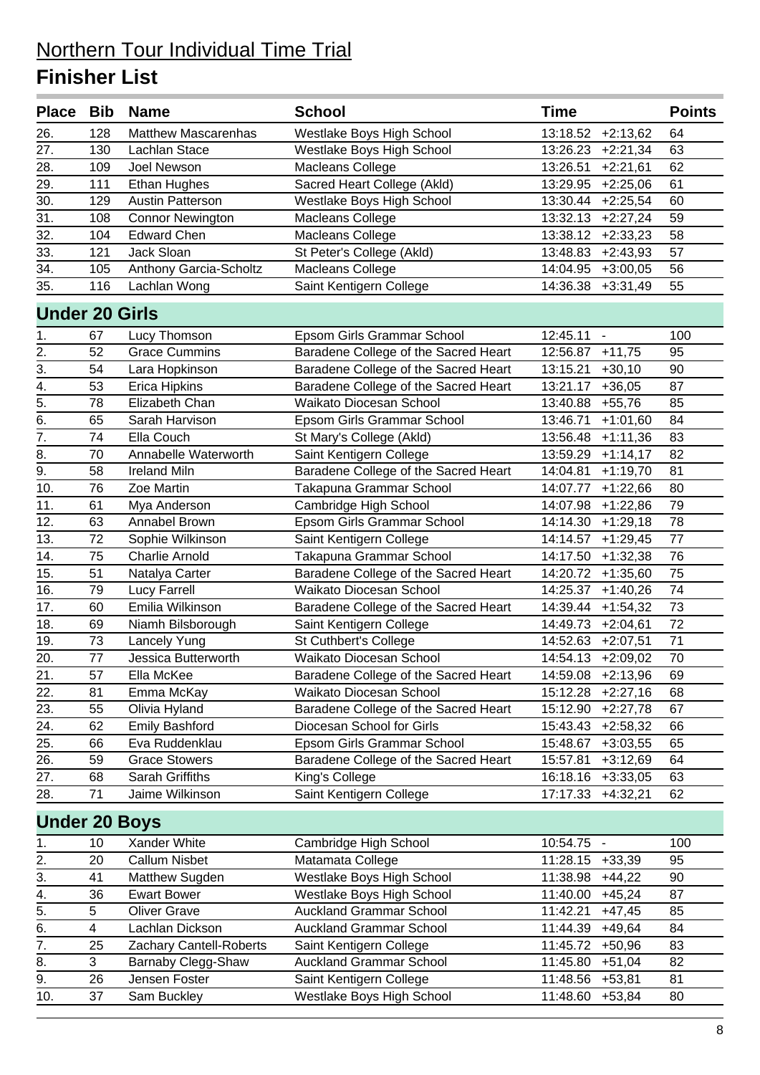| <b>Place</b>          | Bib             | <b>Name</b>             | <b>School</b>                        | <b>Time</b>            | <b>Points</b> |
|-----------------------|-----------------|-------------------------|--------------------------------------|------------------------|---------------|
| 26.                   | 128             | Matthew Mascarenhas     | Westlake Boys High School            | 13:18.52 +2:13,62      | 64            |
| 27.                   | 130             | Lachlan Stace           | Westlake Boys High School            | 13:26.23<br>$+2:21,34$ | 63            |
| 28.                   | 109             | Joel Newson             | <b>Macleans College</b>              | 13:26.51<br>$+2:21,61$ | 62            |
| 29.                   | 111             | <b>Ethan Hughes</b>     | Sacred Heart College (Akld)          | 13:29.95<br>$+2:25,06$ | 61            |
| 30.                   | 129             | <b>Austin Patterson</b> | Westlake Boys High School            | $+2:25,54$<br>13:30.44 | 60            |
| 31.                   | 108             | <b>Connor Newington</b> | Macleans College                     | 13:32.13<br>$+2:27,24$ | 59            |
| 32.                   | 104             | <b>Edward Chen</b>      | Macleans College                     | 13:38.12 +2:33,23      | 58            |
| $\overline{33}$ .     | 121             | <b>Jack Sloan</b>       | St Peter's College (Akld)            | 13:48.83<br>$+2:43,93$ | 57            |
| 34.                   | 105             | Anthony Garcia-Scholtz  | Macleans College                     | 14:04.95<br>$+3:00,05$ | 56            |
| 35.                   | 116             | Lachlan Wong            | Saint Kentigern College              | 14:36.38<br>$+3:31,49$ | 55            |
| <b>Under 20 Girls</b> |                 |                         |                                      |                        |               |
| 1.                    | 67              | Lucy Thomson            | Epsom Girls Grammar School           | $12:45.11 -$           | 100           |
| 2.                    | 52              | <b>Grace Cummins</b>    | Baradene College of the Sacred Heart | $+11,75$<br>12:56.87   | 95            |
| $\overline{3}$ .      | 54              | Lara Hopkinson          | Baradene College of the Sacred Heart | 13:15.21<br>$+30,10$   | 90            |
| $\overline{4}$ .      | 53              | Erica Hipkins           | Baradene College of the Sacred Heart | 13:21.17<br>$+36,05$   | 87            |
| $\overline{5}$ .      | 78              | Elizabeth Chan          | Waikato Diocesan School              | 13:40.88<br>$+55,76$   | 85            |
| $\overline{6}$ .      | 65              | Sarah Harvison          | Epsom Girls Grammar School           | 13:46.71<br>$+1:01,60$ | 84            |
| $\overline{7}$ .      | 74              | Ella Couch              | St Mary's College (Akld)             | $+1:11,36$<br>13:56.48 | 83            |
| $\overline{8}$ .      | 70              | Annabelle Waterworth    | Saint Kentigern College              | 13:59.29<br>$+1:14,17$ | 82            |
| $\overline{9}$ .      | 58              | <b>Ireland Miln</b>     | Baradene College of the Sacred Heart | 14:04.81<br>$+1:19,70$ | 81            |
| 10.                   | 76              | Zoe Martin              | Takapuna Grammar School              | $+1:22,66$<br>14:07.77 | 80            |
| 11.                   | 61              | Mya Anderson            | Cambridge High School                | $+1:22,86$<br>14:07.98 | 79            |
| 12.                   | 63              | Annabel Brown           | Epsom Girls Grammar School           | $+1:29,18$<br>14:14.30 | 78            |
| 13.                   | 72              | Sophie Wilkinson        | Saint Kentigern College              | $+1:29,45$<br>14:14.57 | 77            |
| 14.                   | 75              | <b>Charlie Arnold</b>   | Takapuna Grammar School              | 14:17.50<br>$+1:32,38$ | 76            |
| 15.                   | 51              | Natalya Carter          | Baradene College of the Sacred Heart | 14:20.72<br>$+1:35,60$ | 75            |
| 16.                   | 79              | <b>Lucy Farrell</b>     | Waikato Diocesan School              | 14:25.37<br>$+1:40,26$ | 74            |
| 17.                   | 60              | Emilia Wilkinson        | Baradene College of the Sacred Heart | $+1:54,32$<br>14:39.44 | 73            |
| 18.                   | 69              | Niamh Bilsborough       | Saint Kentigern College              | 14:49.73<br>$+2:04,61$ | 72            |
| 19.                   | 73              | Lancely Yung            | St Cuthbert's College                | 14:52.63<br>$+2:07,51$ | 71            |
| 20.                   | 77              | Jessica Butterworth     | Waikato Diocesan School              | 14:54.13 +2:09,02      | 70            |
| 21.                   | $\overline{57}$ | Ella McKee              | Baradene College of the Sacred Heart | 14:59.08<br>$+2:13,96$ | 69            |
| 22.                   | 81              | Emma McKay              | Waikato Diocesan School              | 15:12.28<br>$+2:27,16$ | 68            |
| 23.                   | 55              | Olivia Hyland           | Baradene College of the Sacred Heart | 15:12.90<br>$+2:27,78$ | 67            |
| 24.                   | 62              | <b>Emily Bashford</b>   | Diocesan School for Girls            | 15:43.43<br>$+2:58,32$ | 66            |
| 25.                   | 66              | Eva Ruddenklau          | Epsom Girls Grammar School           | 15:48.67<br>$+3:03,55$ | 65            |
| 26.                   | 59              | <b>Grace Stowers</b>    | Baradene College of the Sacred Heart | $+3:12,69$<br>15:57.81 | 64            |
| 27.                   | 68              | Sarah Griffiths         | King's College                       | 16:18.16<br>$+3:33,05$ | 63            |
| 28.                   | 71              | Jaime Wilkinson         | Saint Kentigern College              | 17:17.33<br>$+4:32,21$ | 62            |
| <b>Under 20 Boys</b>  |                 |                         |                                      |                        |               |
| 1.                    | 10              | Xander White            | Cambridge High School                | 10:54.75 -             | 100           |
| 2.                    | 20              | <b>Callum Nisbet</b>    | Matamata College                     | 11:28.15<br>$+33,39$   | 95            |
| 3.                    | 41              | Matthew Sugden          | Westlake Boys High School            | 11:38.98<br>$+44,22$   | 90            |
| 4.                    | 36              | <b>Ewart Bower</b>      | Westlake Boys High School            | $+45,24$<br>11:40.00   | 87            |
| 5.                    | 5               | <b>Oliver Grave</b>     | <b>Auckland Grammar School</b>       | 11:42.21<br>$+47,45$   | 85            |
| 6.                    | 4               | Lachlan Dickson         | <b>Auckland Grammar School</b>       | 11:44.39<br>$+49,64$   | 84            |
| 7.                    | 25              | Zachary Cantell-Roberts | Saint Kentigern College              | 11:45.72<br>$+50,96$   | 83            |
| 8.                    | 3               | Barnaby Clegg-Shaw      | <b>Auckland Grammar School</b>       | 11:45.80<br>$+51,04$   | 82            |
| 9.                    | 26              | Jensen Foster           | Saint Kentigern College              | 11:48.56<br>$+53,81$   | 81            |
| 10.                   | 37              | Sam Buckley             | Westlake Boys High School            | 11:48.60<br>$+53,84$   | 80            |